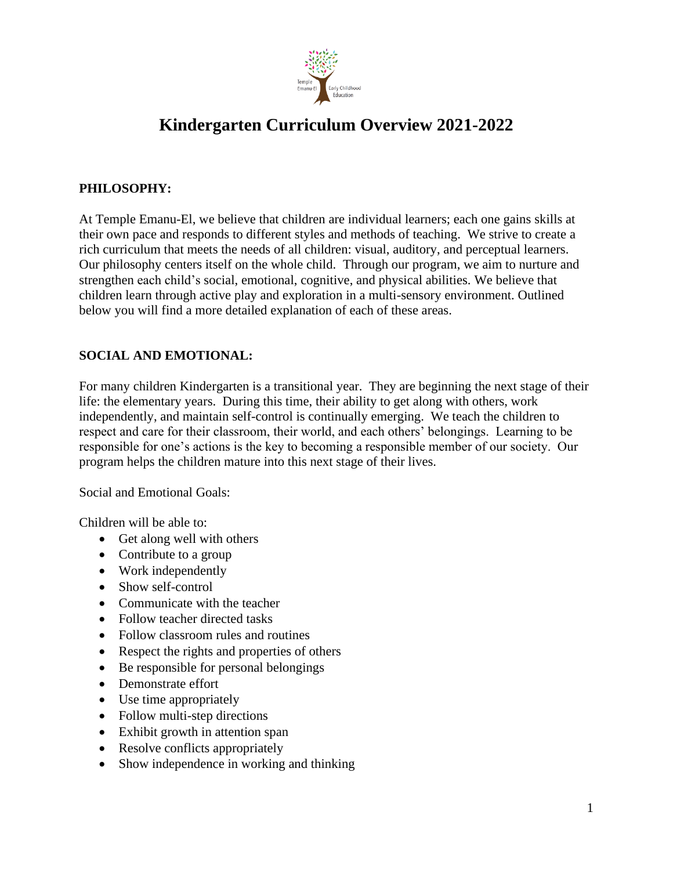

# **Kindergarten Curriculum Overview 2021-2022**

# **PHILOSOPHY:**

At Temple Emanu-El, we believe that children are individual learners; each one gains skills at their own pace and responds to different styles and methods of teaching. We strive to create a rich curriculum that meets the needs of all children: visual, auditory, and perceptual learners. Our philosophy centers itself on the whole child. Through our program, we aim to nurture and strengthen each child's social, emotional, cognitive, and physical abilities. We believe that children learn through active play and exploration in a multi-sensory environment. Outlined below you will find a more detailed explanation of each of these areas.

# **SOCIAL AND EMOTIONAL:**

For many children Kindergarten is a transitional year. They are beginning the next stage of their life: the elementary years. During this time, their ability to get along with others, work independently, and maintain self-control is continually emerging. We teach the children to respect and care for their classroom, their world, and each others' belongings. Learning to be responsible for one's actions is the key to becoming a responsible member of our society. Our program helps the children mature into this next stage of their lives.

Social and Emotional Goals:

Children will be able to:

- Get along well with others
- Contribute to a group
- Work independently
- Show self-control
- Communicate with the teacher
- Follow teacher directed tasks
- Follow classroom rules and routines
- Respect the rights and properties of others
- Be responsible for personal belongings
- Demonstrate effort
- Use time appropriately
- Follow multi-step directions
- Exhibit growth in attention span
- Resolve conflicts appropriately
- Show independence in working and thinking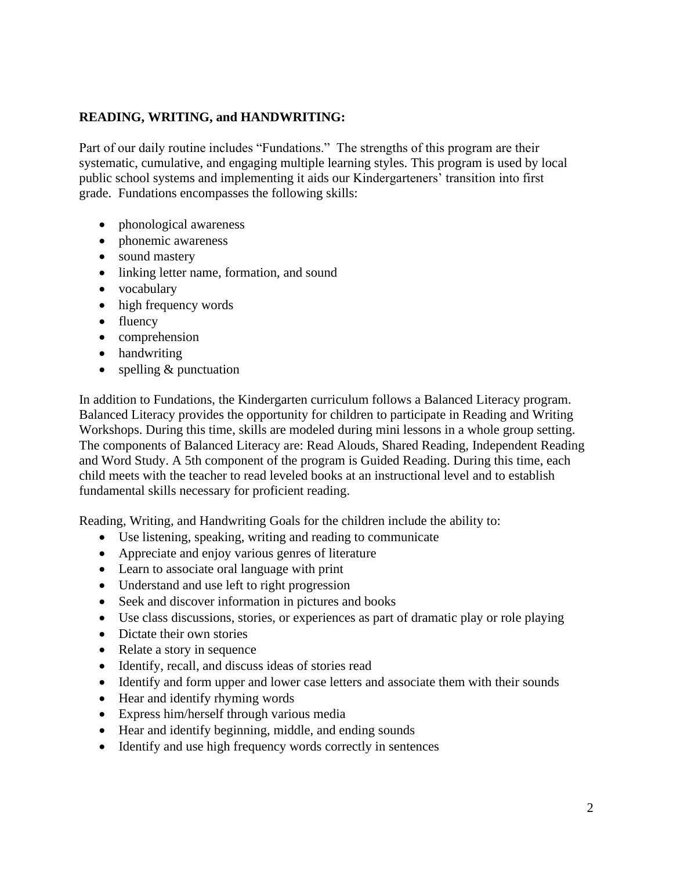## **READING, WRITING, and HANDWRITING:**

Part of our daily routine includes "Fundations." The strengths of this program are their systematic, cumulative, and engaging multiple learning styles. This program is used by local public school systems and implementing it aids our Kindergarteners' transition into first grade. Fundations encompasses the following skills:

- phonological awareness
- phonemic awareness
- sound mastery
- linking letter name, formation, and sound
- vocabulary
- high frequency words
- fluency
- comprehension
- handwriting
- spelling & punctuation

In addition to Fundations, the Kindergarten curriculum follows a Balanced Literacy program. Balanced Literacy provides the opportunity for children to participate in Reading and Writing Workshops. During this time, skills are modeled during mini lessons in a whole group setting. The components of Balanced Literacy are: Read Alouds, Shared Reading, Independent Reading and Word Study. A 5th component of the program is Guided Reading. During this time, each child meets with the teacher to read leveled books at an instructional level and to establish fundamental skills necessary for proficient reading.

Reading, Writing, and Handwriting Goals for the children include the ability to:

- Use listening, speaking, writing and reading to communicate
- Appreciate and enjoy various genres of literature
- Learn to associate oral language with print
- Understand and use left to right progression
- Seek and discover information in pictures and books
- Use class discussions, stories, or experiences as part of dramatic play or role playing
- Dictate their own stories
- Relate a story in sequence
- Identify, recall, and discuss ideas of stories read
- Identify and form upper and lower case letters and associate them with their sounds
- Hear and identify rhyming words
- Express him/herself through various media
- Hear and identify beginning, middle, and ending sounds
- Identify and use high frequency words correctly in sentences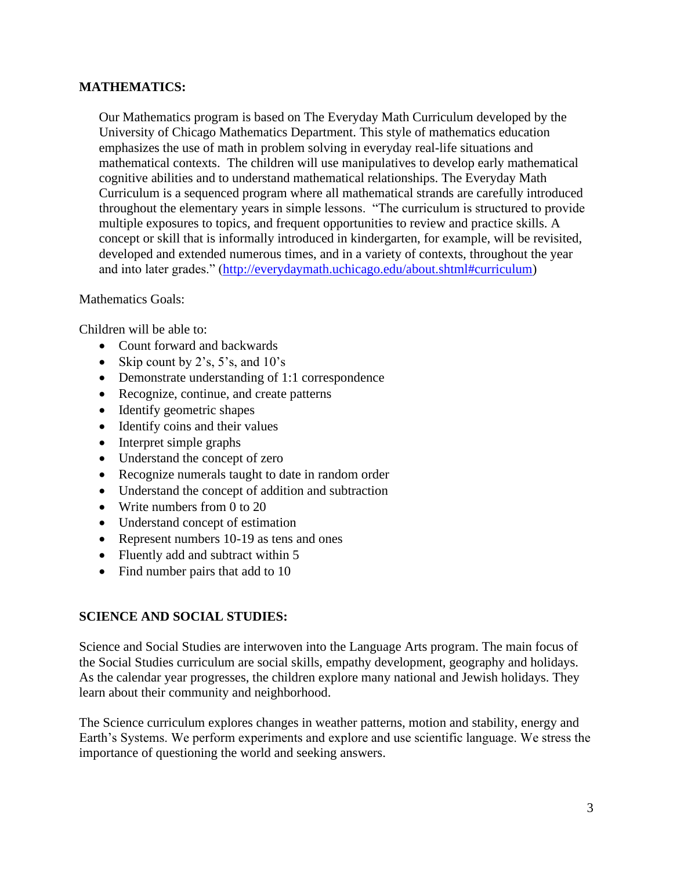### **MATHEMATICS:**

Our Mathematics program is based on The Everyday Math Curriculum developed by the University of Chicago Mathematics Department. This style of mathematics education emphasizes the use of math in problem solving in everyday real-life situations and mathematical contexts. The children will use manipulatives to develop early mathematical cognitive abilities and to understand mathematical relationships. The Everyday Math Curriculum is a sequenced program where all mathematical strands are carefully introduced throughout the elementary years in simple lessons. "The curriculum is structured to provide multiple exposures to topics, and frequent opportunities to review and practice skills. A concept or skill that is informally introduced in kindergarten, for example, will be revisited, developed and extended numerous times, and in a variety of contexts, throughout the year and into later grades." [\(http://everydaymath.uchicago.edu/about.shtml#curriculum\)](http://everydaymath.uchicago.edu/about.shtml#curriculum)

#### Mathematics Goals:

Children will be able to:

- Count forward and backwards
- Skip count by 2's, 5's, and  $10$ 's
- Demonstrate understanding of 1:1 correspondence
- Recognize, continue, and create patterns
- Identify geometric shapes
- Identify coins and their values
- Interpret simple graphs
- Understand the concept of zero
- Recognize numerals taught to date in random order
- Understand the concept of addition and subtraction
- Write numbers from 0 to 20
- Understand concept of estimation
- Represent numbers 10-19 as tens and ones
- Fluently add and subtract within 5
- Find number pairs that add to 10

#### **SCIENCE AND SOCIAL STUDIES:**

Science and Social Studies are interwoven into the Language Arts program. The main focus of the Social Studies curriculum are social skills, empathy development, geography and holidays. As the calendar year progresses, the children explore many national and Jewish holidays. They learn about their community and neighborhood.

The Science curriculum explores changes in weather patterns, motion and stability, energy and Earth's Systems. We perform experiments and explore and use scientific language. We stress the importance of questioning the world and seeking answers.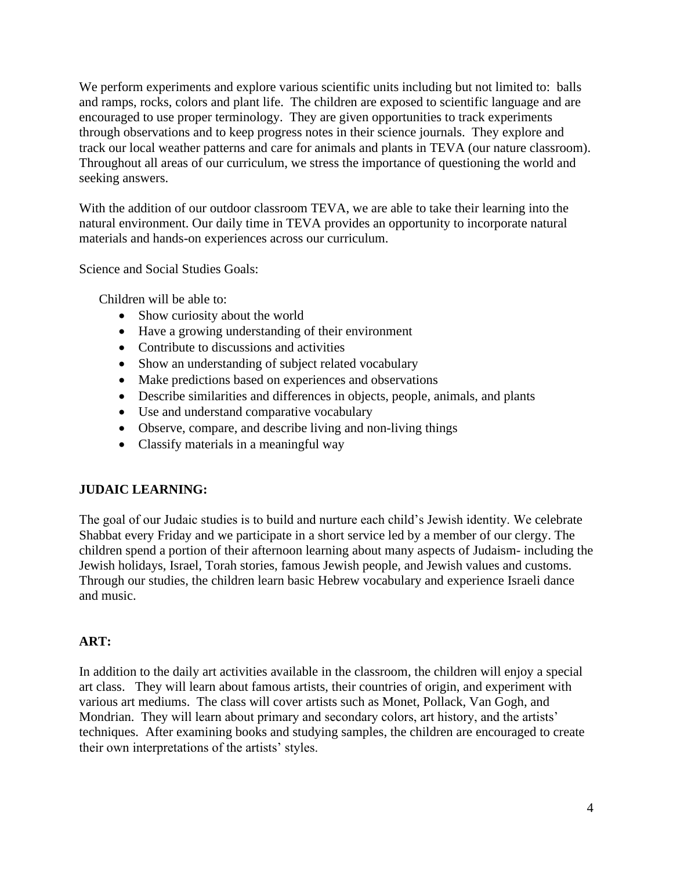We perform experiments and explore various scientific units including but not limited to: balls and ramps, rocks, colors and plant life. The children are exposed to scientific language and are encouraged to use proper terminology. They are given opportunities to track experiments through observations and to keep progress notes in their science journals. They explore and track our local weather patterns and care for animals and plants in TEVA (our nature classroom). Throughout all areas of our curriculum, we stress the importance of questioning the world and seeking answers.

With the addition of our outdoor classroom TEVA, we are able to take their learning into the natural environment. Our daily time in TEVA provides an opportunity to incorporate natural materials and hands-on experiences across our curriculum.

Science and Social Studies Goals:

Children will be able to:

- Show curiosity about the world
- Have a growing understanding of their environment
- Contribute to discussions and activities
- Show an understanding of subject related vocabulary
- Make predictions based on experiences and observations
- Describe similarities and differences in objects, people, animals, and plants
- Use and understand comparative vocabulary
- Observe, compare, and describe living and non-living things
- Classify materials in a meaningful way

#### **JUDAIC LEARNING:**

The goal of our Judaic studies is to build and nurture each child's Jewish identity. We celebrate Shabbat every Friday and we participate in a short service led by a member of our clergy. The children spend a portion of their afternoon learning about many aspects of Judaism- including the Jewish holidays, Israel, Torah stories, famous Jewish people, and Jewish values and customs. Through our studies, the children learn basic Hebrew vocabulary and experience Israeli dance and music.

#### **ART:**

In addition to the daily art activities available in the classroom, the children will enjoy a special art class. They will learn about famous artists, their countries of origin, and experiment with various art mediums. The class will cover artists such as Monet, Pollack, Van Gogh, and Mondrian. They will learn about primary and secondary colors, art history, and the artists' techniques. After examining books and studying samples, the children are encouraged to create their own interpretations of the artists' styles.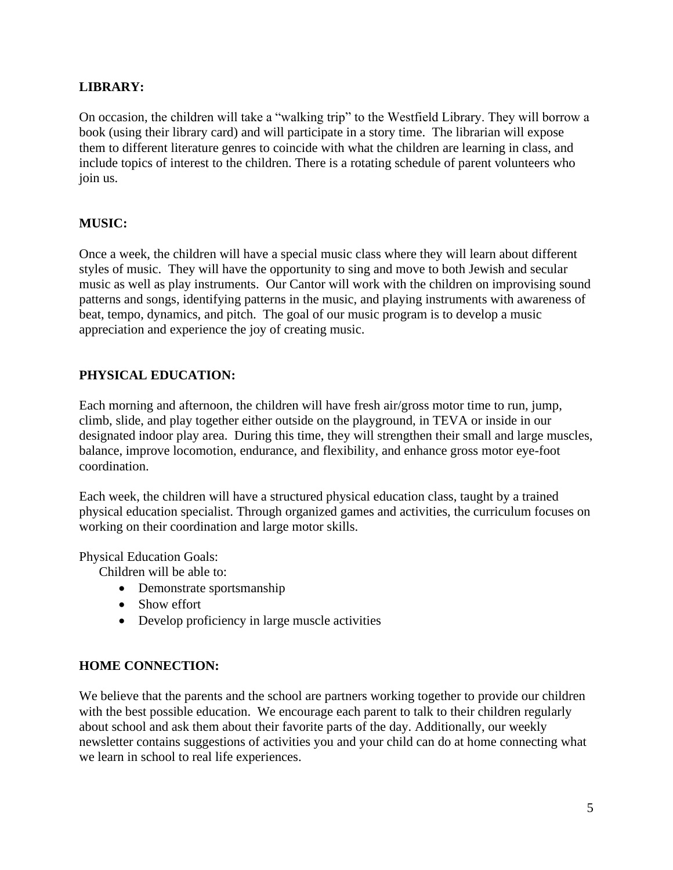## **LIBRARY:**

On occasion, the children will take a "walking trip" to the Westfield Library. They will borrow a book (using their library card) and will participate in a story time. The librarian will expose them to different literature genres to coincide with what the children are learning in class, and include topics of interest to the children. There is a rotating schedule of parent volunteers who join us.

## **MUSIC:**

Once a week, the children will have a special music class where they will learn about different styles of music. They will have the opportunity to sing and move to both Jewish and secular music as well as play instruments. Our Cantor will work with the children on improvising sound patterns and songs, identifying patterns in the music, and playing instruments with awareness of beat, tempo, dynamics, and pitch. The goal of our music program is to develop a music appreciation and experience the joy of creating music.

## **PHYSICAL EDUCATION:**

Each morning and afternoon, the children will have fresh air/gross motor time to run, jump, climb, slide, and play together either outside on the playground, in TEVA or inside in our designated indoor play area. During this time, they will strengthen their small and large muscles, balance, improve locomotion, endurance, and flexibility, and enhance gross motor eye-foot coordination.

Each week, the children will have a structured physical education class, taught by a trained physical education specialist. Through organized games and activities, the curriculum focuses on working on their coordination and large motor skills.

Physical Education Goals:

Children will be able to:

- Demonstrate sportsmanship
- Show effort
- Develop proficiency in large muscle activities

#### **HOME CONNECTION:**

We believe that the parents and the school are partners working together to provide our children with the best possible education. We encourage each parent to talk to their children regularly about school and ask them about their favorite parts of the day. Additionally, our weekly newsletter contains suggestions of activities you and your child can do at home connecting what we learn in school to real life experiences.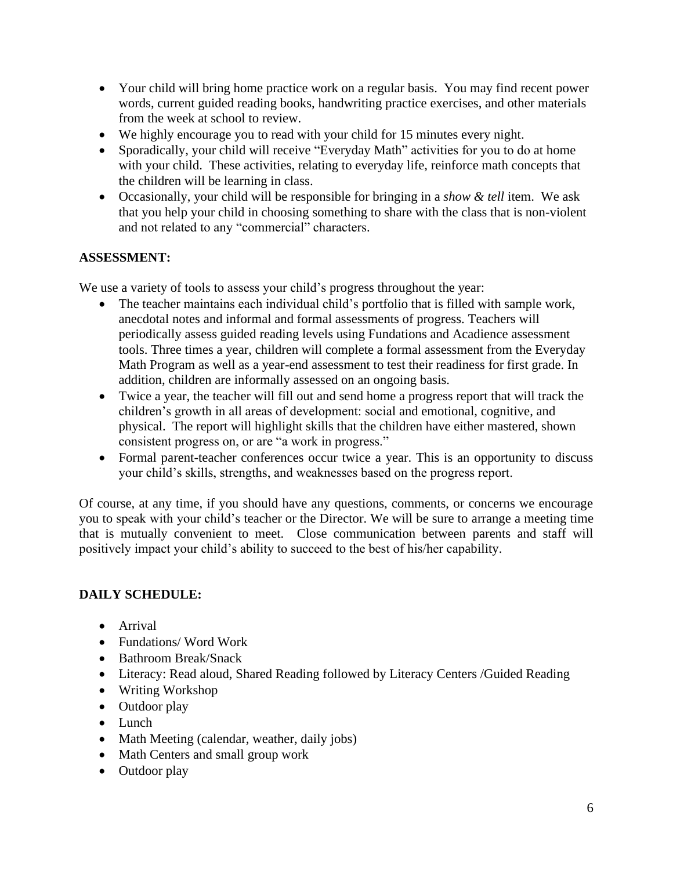- Your child will bring home practice work on a regular basis. You may find recent power words, current guided reading books, handwriting practice exercises, and other materials from the week at school to review.
- We highly encourage you to read with your child for 15 minutes every night.
- Sporadically, your child will receive "Everyday Math" activities for you to do at home with your child. These activities, relating to everyday life, reinforce math concepts that the children will be learning in class.
- Occasionally, your child will be responsible for bringing in a *show & tell* item. We ask that you help your child in choosing something to share with the class that is non-violent and not related to any "commercial" characters.

## **ASSESSMENT:**

We use a variety of tools to assess your child's progress throughout the year:

- The teacher maintains each individual child's portfolio that is filled with sample work, anecdotal notes and informal and formal assessments of progress. Teachers will periodically assess guided reading levels using Fundations and Acadience assessment tools. Three times a year, children will complete a formal assessment from the Everyday Math Program as well as a year-end assessment to test their readiness for first grade. In addition, children are informally assessed on an ongoing basis.
- Twice a year, the teacher will fill out and send home a progress report that will track the children's growth in all areas of development: social and emotional, cognitive, and physical. The report will highlight skills that the children have either mastered, shown consistent progress on, or are "a work in progress."
- Formal parent-teacher conferences occur twice a year. This is an opportunity to discuss your child's skills, strengths, and weaknesses based on the progress report.

Of course, at any time, if you should have any questions, comments, or concerns we encourage you to speak with your child's teacher or the Director. We will be sure to arrange a meeting time that is mutually convenient to meet. Close communication between parents and staff will positively impact your child's ability to succeed to the best of his/her capability.

# **DAILY SCHEDULE:**

- Arrival
- Fundations/Word Work
- Bathroom Break/Snack
- Literacy: Read aloud, Shared Reading followed by Literacy Centers /Guided Reading
- Writing Workshop
- Outdoor play
- Lunch
- Math Meeting (calendar, weather, daily jobs)
- Math Centers and small group work
- Outdoor play